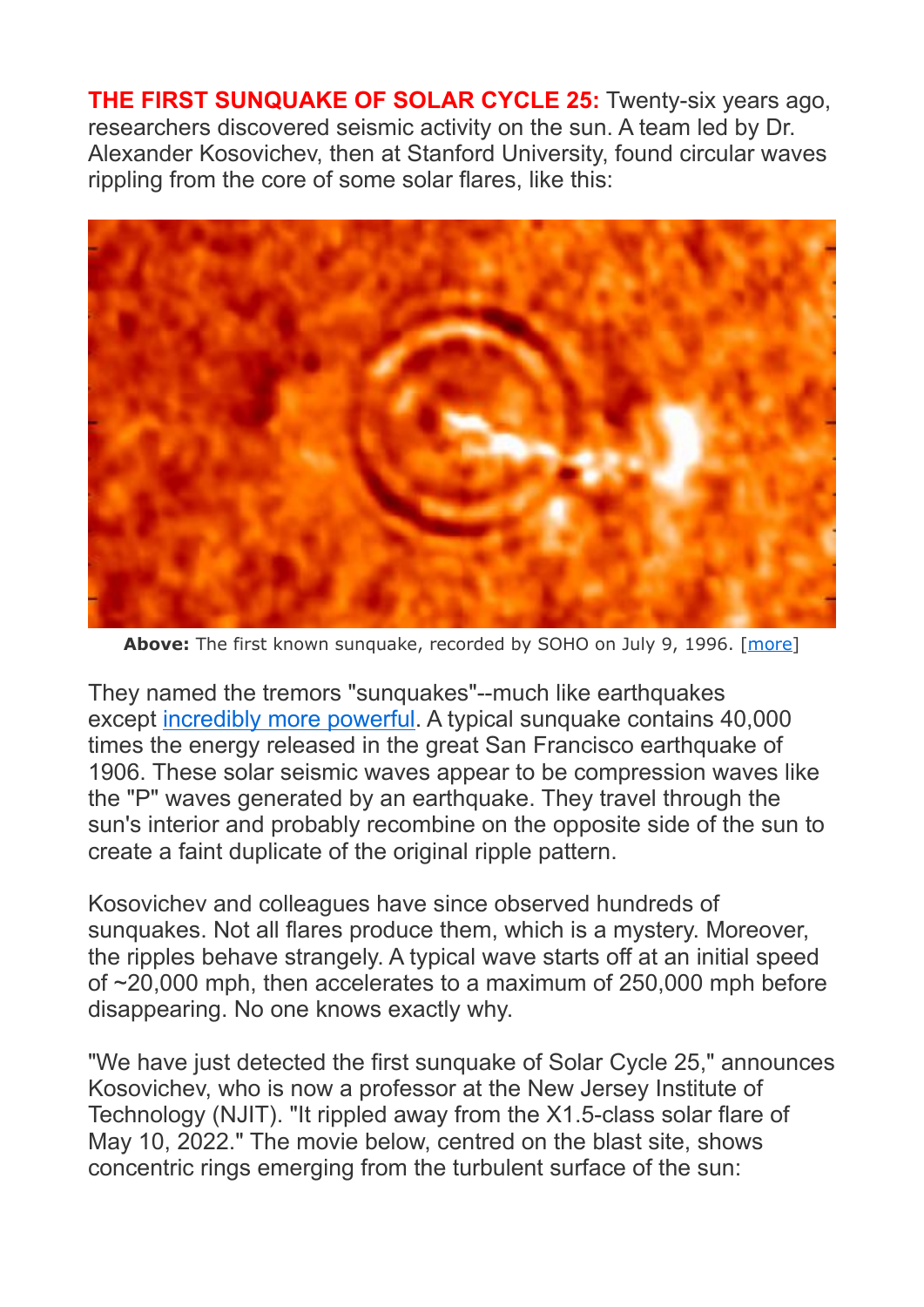**THE FIRST SUNQUAKE OF SOLAR CYCLE 25:** Twenty-six years ago, researchers discovered seismic activity on the sun. A team led by Dr. Alexander Kosovichev, then at Stanford University, found circular waves rippling from the core of some solar flares, like this:



Above: The first known sunquake, recorded by SOHO on July 9, 1996. [[more\]](http://soi.stanford.edu/press/agu05-98/press-rel.html)

They named the tremors "sunquakes"--much like earthquakes except [incredibly more powerful.](https://spaceweather.com/images2022/12may22/quakes.gif) A typical sunquake contains 40,000 times the energy released in the great San Francisco earthquake of 1906. These solar seismic waves appear to be compression waves like the "P" waves generated by an earthquake. They travel through the sun's interior and probably recombine on the opposite side of the sun to create a faint duplicate of the original ripple pattern.

Kosovichev and colleagues have since observed hundreds of sunquakes. Not all flares produce them, which is a mystery. Moreover, the ripples behave strangely. A typical wave starts off at an initial speed of ~20,000 mph, then accelerates to a maximum of 250,000 mph before disappearing. No one knows exactly why.

"We have just detected the first sunquake of Solar Cycle 25," announces Kosovichev, who is now a professor at the New Jersey Institute of Technology (NJIT). "It rippled away from the X1.5-class solar flare of May 10, 2022." The movie below, centred on the blast site, shows concentric rings emerging from the turbulent surface of the sun: